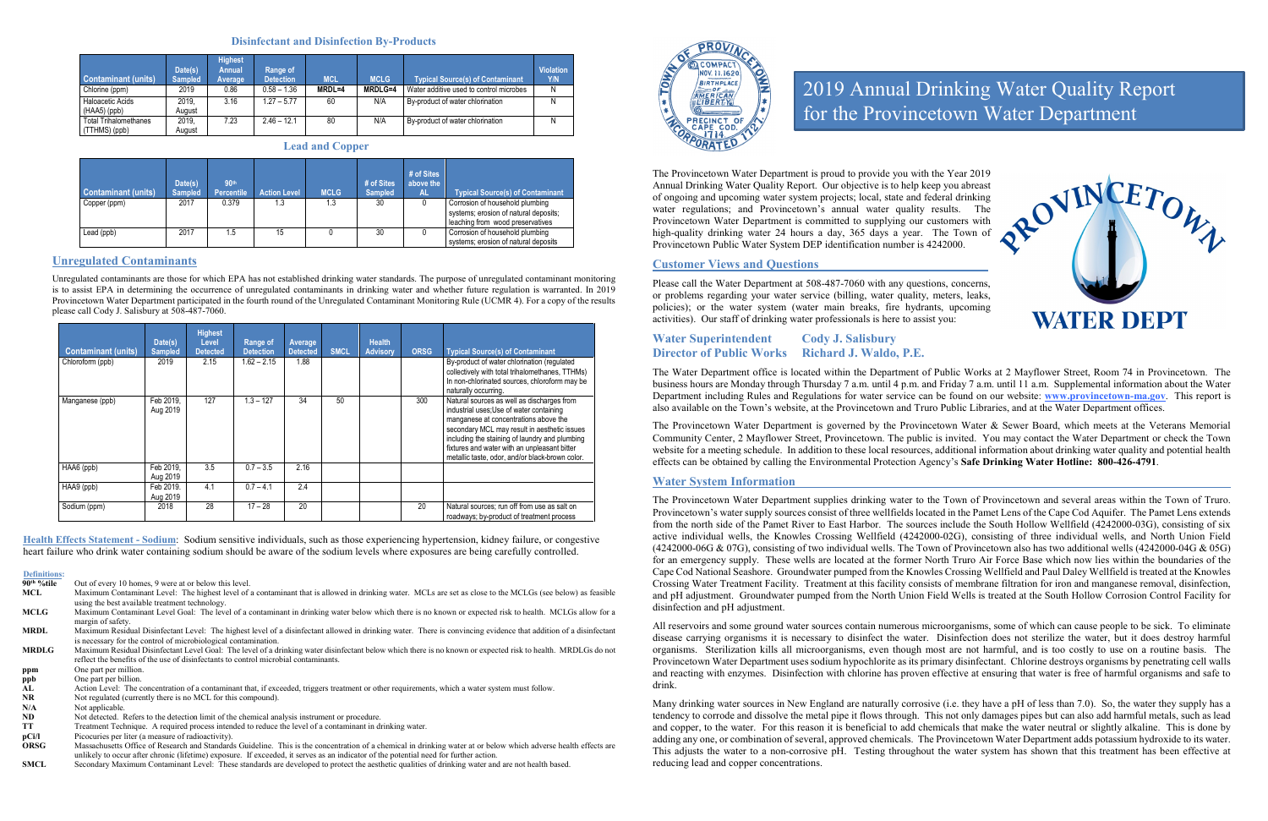#### **Disinfectant and Disinfection By-Products**

| <b>Contaminant (units)</b><br>Chlorine (ppm)  | Date(s)<br><b>Sampled</b><br>2019 | <b>Highest</b><br><b>Annual</b><br>Average<br>0.86 | Range of<br><b>Detection</b><br>$0.58 - 1.36$ | <b>MCL</b><br>MRDL=4 | <b>MCLG</b><br><b>MRDLG=4</b> | <b>Typical Source(s) of Contaminant</b><br>Water additive used to control microbes | <b>Violation</b><br>Y/N<br>N |
|-----------------------------------------------|-----------------------------------|----------------------------------------------------|-----------------------------------------------|----------------------|-------------------------------|------------------------------------------------------------------------------------|------------------------------|
| <b>Haloacetic Acids</b><br>$(HAA5)$ (ppb)     | 2019.<br>August                   | 3.16                                               | $1.27 - 5.77$                                 | 60                   | N/A                           | By-product of water chlorination                                                   | N                            |
| <b>Total Trihalomethanes</b><br>(TTHMS) (ppb) | 2019.<br>August                   | 7.23                                               | $2.46 - 12.1$                                 | 80                   | N/A                           | By-product of water chlorination                                                   | N                            |

**Lead and Copper**

| <b>Contaminant (units)</b> | Date(s)<br><b>Sampled</b> | 90th<br><b>Percentile</b> | <b>Action Level</b> | <b>MCLG</b> | # of Sites<br><b>Sampled</b> | # of Sites<br>above the<br><b>AL</b> | <b>Typical Source(s) of Contaminant</b>                                                                      |
|----------------------------|---------------------------|---------------------------|---------------------|-------------|------------------------------|--------------------------------------|--------------------------------------------------------------------------------------------------------------|
| Copper (ppm)               | 2017                      | 0.379                     | 1.3                 | 1.3         | 30                           |                                      | Corrosion of household plumbing<br>systems; erosion of natural deposits;<br>leaching from wood preservatives |
| Lead (ppb)                 | 2017                      | 5، ،                      | 15                  |             | 30                           |                                      | Corrosion of household plumbing<br>systems; erosion of natural deposits                                      |

#### **Unregulated Contaminants**

Unregulated contaminants are those for which EPA has not established drinking water standards. The purpose of unregulated contaminant monitoring is to assist EPA in determining the occurrence of unregulated contaminants in drinking water and whether future regulation is warranted. In 2019 Provincetown Water Department participated in the fourth round of the Unregulated Contaminant Monitoring Rule (UCMR 4). For a copy of the results please call Cody J. Salisbury at 508-487-7060.

| <b>Contaminant (units)</b> | Date(s)<br><b>Sampled</b> | <b>Highest</b><br>Level<br><b>Detected</b> | Range of<br><b>Detection</b> | Average<br><b>Detected</b> | <b>SMCL</b> | <b>Health</b><br><b>Advisory</b> | <b>ORSG</b> | <b>Typical Source(s) of Contaminant</b>                                                                                                                                                                                                                                                                                              |
|----------------------------|---------------------------|--------------------------------------------|------------------------------|----------------------------|-------------|----------------------------------|-------------|--------------------------------------------------------------------------------------------------------------------------------------------------------------------------------------------------------------------------------------------------------------------------------------------------------------------------------------|
| Chloroform (ppb)           | 2019                      | 2.15                                       | $1.62 - 2.15$                | 1.88                       |             |                                  |             | By-product of water chlorination (regulated<br>collectively with total trihalomethanes, TTHMs)<br>In non-chlorinated sources, chloroform may be<br>naturally occurring.                                                                                                                                                              |
| Manganese (ppb)            | Feb 2019.<br>Aug 2019     | 127                                        | $1.3 - 127$                  | 34                         | 50          |                                  | 300         | Natural sources as well as discharges from<br>industrial uses; Use of water containing<br>manganese at concentrations above the<br>secondary MCL may result in aesthetic issues<br>including the staining of laundry and plumbing<br>fixtures and water with an unpleasant bitter<br>metallic taste, odor, and/or black-brown color. |
| HAA6 (ppb)                 | Feb 2019.<br>Aug 2019     | 3.5                                        | $0.7 - 3.5$                  | 2.16                       |             |                                  |             |                                                                                                                                                                                                                                                                                                                                      |
| HAA9 (ppb)                 | Feb 2019.<br>Aug 2019     | 4.1                                        | $0.7 - 4.1$                  | 2.4                        |             |                                  |             |                                                                                                                                                                                                                                                                                                                                      |
| Sodium (ppm)               | 2018                      | 28                                         | $17 - 28$                    | 20                         |             |                                  | 20          | Natural sources; run off from use as salt on<br>roadways; by-product of treatment process                                                                                                                                                                                                                                            |

- **90<sup>th</sup> %tile** Out of every 10 homes, 9 were at or below this level.<br> **MCL** Maximum Contaminant Level: The highest level of a
- Maximum Contaminant Level: The highest level of a contaminant that is allowed in drinking water. MCLs are set as close to the MCLGs (see below) as feasible using the best available treatment technology.
- **MCLG** Maximum Contaminant Level Goal: The level of a contaminant in drinking water below which there is no known or expected risk to health. MCLGs allow for a margin of safety.
- **MRDL** Maximum Residual Disinfectant Level: The highest level of a disinfectant allowed in drinking water. There is convincing evidence that addition of a disinfectant is necessary for the control of microbiological contamination.
- **MRDLG** Maximum Residual Disinfectant Level Goal: The level of a drinking water disinfectant below which there is no known or expected risk to health. MRDLGs do not reflect the benefits of the use of disinfectants to control microbial contaminants.
- **ppm** One part per million.
- **ppb** One part per billion.<br>AL Action Level: The c
- AL Action Level: The concentration of a contaminant that, if exceeded, triggers treatment or other requirements, which a water system must follow.<br>NR Not regulated (currently there is no MCL for this compound).
- **NR** Not regulated (currently there is no MCL for this compound).<br>N/A Not applicable.
- **N/A** Not applicable.<br>**ND** Not detected. **I**
- Not detected. Refers to the detection limit of the chemical analysis instrument or procedure.
- **TT** Treatment Technique. A required process intended to reduce the level of a contaminant in drinking water.<br> **pCi/l** Picocuries per liter (a measure of radioactivity).
- **pCi/l** Picocuries per liter (a measure of radioactivity).<br> **ORSG** Massachusetts Office of Research and Standards
- **ORSG** Massachusetts Office of Research and Standards Guideline. This is the concentration of a chemical in drinking water at or below which adverse health effects are unlikely to occur after chronic (lifetime) exposure. If exceeded, it serves as an indicator of the potential need for further action.
- **SMCL** Secondary Maximum Contaminant Level: These standards are developed to protect the aesthetic qualities of drinking water and are not health based.



**Health Effects Statement - Sodium**: Sodium sensitive individuals, such as those experiencing hypertension, kidney failure, or congestive heart failure who drink water containing sodium should be aware of the sodium levels where exposures are being carefully controlled.

## **Definitions:**

The Provincetown Water Department is proud to provide you with the Year 2019 Annual Drinking Water Quality Report. Our objective is to help keep you abreast of ongoing and upcoming water system projects; local, state and federal drinking water regulations; and Provincetown's annual water quality results. The Provincetown Water Department is committed to supplying our customers with high-quality drinking water 24 hours a day, 365 days a year. The Town of Provincetown Public Water System DEP identification number is 4242000.

### **Customer Views and Questions**

Please call the Water Department at 508-487-7060 with any questions, concerns, or problems regarding your water service (billing, water quality, meters, leaks, policies); or the water system (water main breaks, fire hydrants, upcoming activities). Our staff of drinking water professionals is here to assist you:

### **Water Superintendent Cody J. Salisbury Director of Public Works Richard J. Waldo, P.E.**

The Water Department office is located within the Department of Public Works at 2 Mayflower Street, Room 74 in Provincetown. The business hours are Monday through Thursday 7 a.m. until 4 p.m. and Friday 7 a.m. until 11 a.m. Supplemental information about the Water Department including Rules and Regulations for water service can be found on our website: **[www.provincetown-ma.gov](http://www.provincetowngov.org/)**. This report is also available on the Town's website, at the Provincetown and Truro Public Libraries, and at the Water Department offices.

The Provincetown Water Department is governed by the Provincetown Water & Sewer Board, which meets at the Veterans Memorial Community Center, 2 Mayflower Street, Provincetown. The public is invited. You may contact the Water Department or check the Town website for a meeting schedule. In addition to these local resources, additional information about drinking water quality and potential health effects can be obtained by calling the Environmental Protection Agency's **Safe Drinking Water Hotline: 800-426-4791**.

#### **Water System Information**

The Provincetown Water Department supplies drinking water to the Town of Provincetown and several areas within the Town of Truro. Provincetown's water supply sources consist of three wellfields located in the Pamet Lens of the Cape Cod Aquifer. The Pamet Lens extends from the north side of the Pamet River to East Harbor. The sources include the South Hollow Wellfield (4242000-03G), consisting of six active individual wells, the Knowles Crossing Wellfield (4242000-02G), consisting of three individual wells, and North Union Field (4242000-06G & 07G), consisting of two individual wells. The Town of Provincetown also has two additional wells (4242000-04G & 05G) for an emergency supply. These wells are located at the former North Truro Air Force Base which now lies within the boundaries of the Cape Cod National Seashore. Groundwater pumped from the Knowles Crossing Wellfield and Paul Daley Wellfield is treated at the Knowles Crossing Water Treatment Facility. Treatment at this facility consists of membrane filtration for iron and manganese removal, disinfection, and pH adjustment. Groundwater pumped from the North Union Field Wells is treated at the South Hollow Corrosion Control Facility for disinfection and pH adjustment.

All reservoirs and some ground water sources contain numerous microorganisms, some of which can cause people to be sick. To eliminate disease carrying organisms it is necessary to disinfect the water. Disinfection does not sterilize the water, but it does destroy harmful organisms. Sterilization kills all microorganisms, even though most are not harmful, and is too costly to use on a routine basis. The Provincetown Water Department uses sodium hypochlorite as its primary disinfectant. Chlorine destroys organisms by penetrating cell walls and reacting with enzymes. Disinfection with chlorine has proven effective at ensuring that water is free of harmful organisms and safe to drink.

Many drinking water sources in New England are naturally corrosive (i.e. they have a pH of less than 7.0). So, the water they supply has a tendency to corrode and dissolve the metal pipe it flows through. This not only damages pipes but can also add harmful metals, such as lead and copper, to the water. For this reason it is beneficial to add chemicals that make the water neutral or slightly alkaline. This is done by adding any one, or combination of several, approved chemicals. The Provincetown Water Department adds potassium hydroxide to its water. This adjusts the water to a non-corrosive pH. Testing throughout the water system has shown that this treatment has been effective at reducing lead and copper concentrations.



# 2019 Annual Drinking Water Quality Report for the Provincetown Water Department